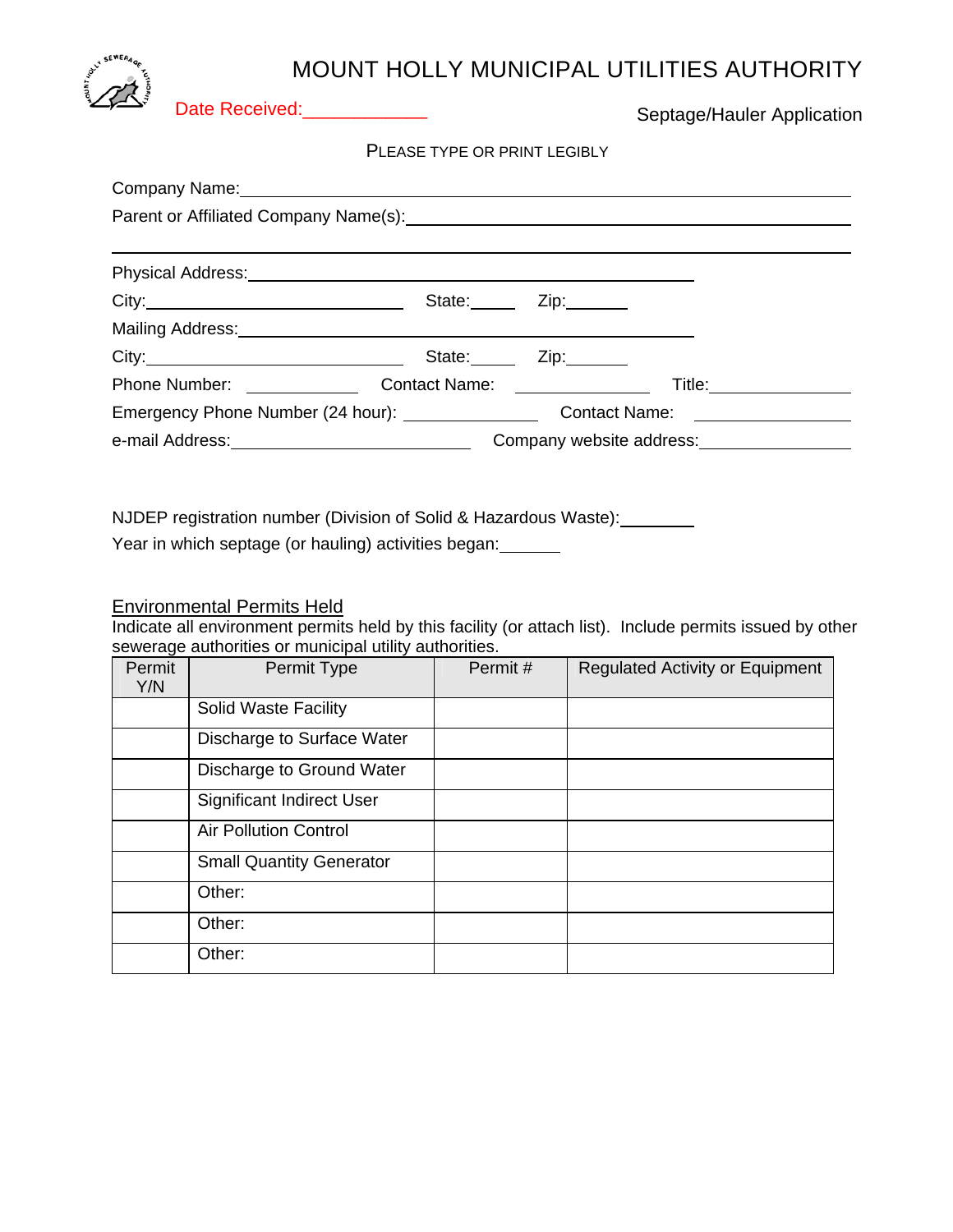## MOUNT HOLLY MUNICIPAL UTILITIES AUTHORITY



Date Received:\_\_\_\_\_\_\_\_\_\_\_\_\_

Septage/Hauler Application

PLEASE TYPE OR PRINT LEGIBLY

| Physical Address: No. 2022 2023 2024 2022 2023 2024 2022 2023 2024 2022 2023 2024 2022 2023 2024 2022 2023 20 |                                                             |             |                        |  |
|---------------------------------------------------------------------------------------------------------------|-------------------------------------------------------------|-------------|------------------------|--|
|                                                                                                               |                                                             | State: Zip: |                        |  |
| Mailing Address: Management of the Mailing Address:                                                           |                                                             |             |                        |  |
|                                                                                                               | State: <u>Zip:</u>                                          |             |                        |  |
| <b>Phone Number:</b> Phone Number:                                                                            | Contact Name: _______________                               |             | Title: _______________ |  |
|                                                                                                               |                                                             |             |                        |  |
|                                                                                                               | Company website address:<br><u>Company</u> website address: |             |                        |  |
|                                                                                                               |                                                             |             |                        |  |

NJDEP registration number (Division of Solid & Hazardous Waste):

Year in which septage (or hauling) activities began:

## Environmental Permits Held

Indicate all environment permits held by this facility (or attach list). Include permits issued by other sewerage authorities or municipal utility authorities.

| Permit<br>Y/N | Permit Type                      | Permit# | <b>Regulated Activity or Equipment</b> |
|---------------|----------------------------------|---------|----------------------------------------|
|               | Solid Waste Facility             |         |                                        |
|               | Discharge to Surface Water       |         |                                        |
|               | Discharge to Ground Water        |         |                                        |
|               | <b>Significant Indirect User</b> |         |                                        |
|               | <b>Air Pollution Control</b>     |         |                                        |
|               | <b>Small Quantity Generator</b>  |         |                                        |
|               | Other:                           |         |                                        |
|               | Other:                           |         |                                        |
|               | Other:                           |         |                                        |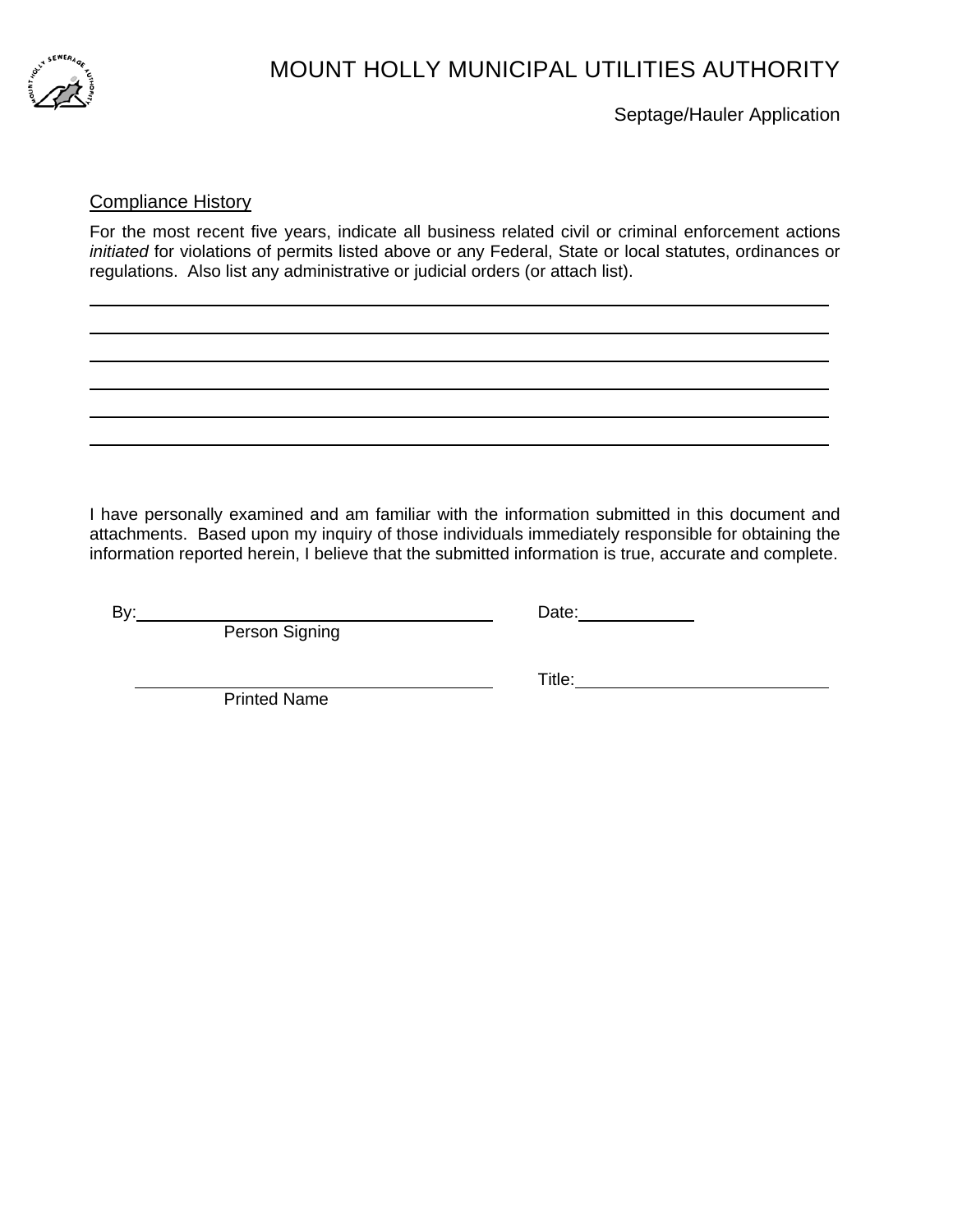

 $\overline{a}$  $\overline{a}$ 

## MOUNT HOLLY MUNICIPAL UTILITIES AUTHORITY

Septage/Hauler Application

### Compliance History

For the most recent five years, indicate all business related civil or criminal enforcement actions *initiated* for violations of permits listed above or any Federal, State or local statutes, ordinances or regulations. Also list any administrative or judicial orders (or attach list).

I have personally examined and am familiar with the information submitted in this document and attachments. Based upon my inquiry of those individuals immediately responsible for obtaining the information reported herein, I believe that the submitted information is true, accurate and complete.

**Person Signing** 

By: Date:

Printed Name

Title: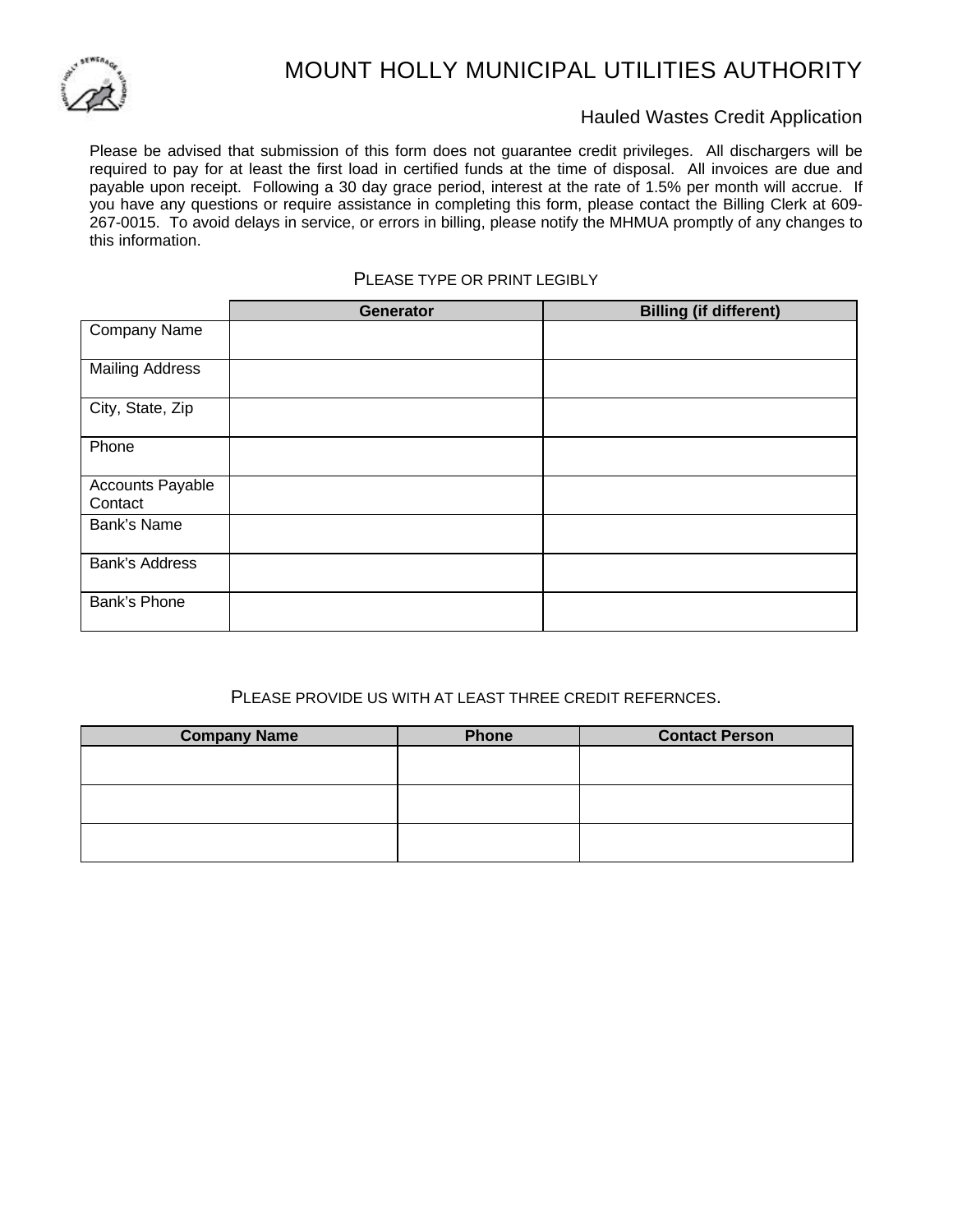

# MOUNT HOLLY MUNICIPAL UTILITIES AUTHORITY

### Hauled Wastes Credit Application

Please be advised that submission of this form does not guarantee credit privileges. All dischargers will be required to pay for at least the first load in certified funds at the time of disposal. All invoices are due and payable upon receipt. Following a 30 day grace period, interest at the rate of 1.5% per month will accrue. If you have any questions or require assistance in completing this form, please contact the Billing Clerk at 609- 267-0015. To avoid delays in service, or errors in billing, please notify the MHMUA promptly of any changes to this information.

#### PLEASE TYPE OR PRINT LEGIBLY

|                             | Generator | <b>Billing (if different)</b> |
|-----------------------------|-----------|-------------------------------|
| Company Name                |           |                               |
| <b>Mailing Address</b>      |           |                               |
| City, State, Zip            |           |                               |
| Phone                       |           |                               |
| Accounts Payable<br>Contact |           |                               |
| Bank's Name                 |           |                               |
| Bank's Address              |           |                               |
| Bank's Phone                |           |                               |

## PLEASE PROVIDE US WITH AT LEAST THREE CREDIT REFERNCES.

| <b>Company Name</b> | Phone | <b>Contact Person</b> |
|---------------------|-------|-----------------------|
|                     |       |                       |
|                     |       |                       |
|                     |       |                       |
|                     |       |                       |
|                     |       |                       |
|                     |       |                       |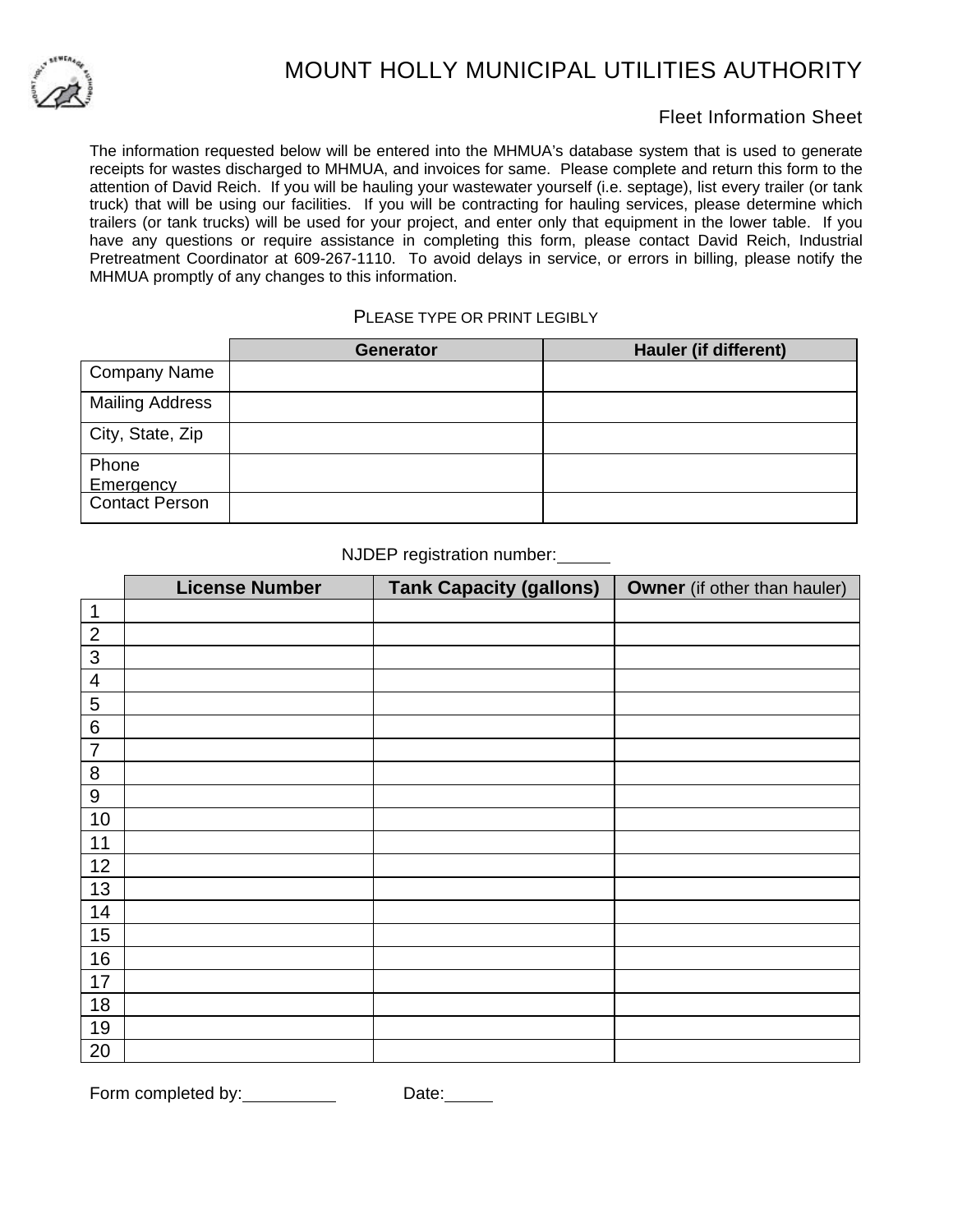

# MOUNT HOLLY MUNICIPAL UTILITIES AUTHORITY

## Fleet Information Sheet

The information requested below will be entered into the MHMUA's database system that is used to generate receipts for wastes discharged to MHMUA, and invoices for same. Please complete and return this form to the attention of David Reich. If you will be hauling your wastewater yourself (i.e. septage), list every trailer (or tank truck) that will be using our facilities. If you will be contracting for hauling services, please determine which trailers (or tank trucks) will be used for your project, and enter only that equipment in the lower table. If you have any questions or require assistance in completing this form, please contact David Reich, Industrial Pretreatment Coordinator at 609-267-1110. To avoid delays in service, or errors in billing, please notify the MHMUA promptly of any changes to this information.

### PLEASE TYPE OR PRINT LEGIBLY

|                           | <b>Generator</b> | Hauler (if different) |
|---------------------------|------------------|-----------------------|
| <b>Company Name</b>       |                  |                       |
| <b>Mailing Address</b>    |                  |                       |
| City, State, Zip          |                  |                       |
| Phone<br><b>Emergency</b> |                  |                       |
| <b>Contact Person</b>     |                  |                       |

### NJDEP registration number:

|                         | <b>License Number</b> | <b>Tank Capacity (gallons)</b> | <b>Owner</b> (if other than hauler) |
|-------------------------|-----------------------|--------------------------------|-------------------------------------|
| $\mathbf{1}$            |                       |                                |                                     |
| $\overline{2}$          |                       |                                |                                     |
| $\mathbf{3}$            |                       |                                |                                     |
| $\overline{\mathbf{4}}$ |                       |                                |                                     |
| 5                       |                       |                                |                                     |
| $\,6$                   |                       |                                |                                     |
| $\overline{7}$          |                       |                                |                                     |
| $\,8\,$                 |                       |                                |                                     |
| $\boldsymbol{9}$        |                       |                                |                                     |
| 10                      |                       |                                |                                     |
| 11                      |                       |                                |                                     |
| 12                      |                       |                                |                                     |
| 13                      |                       |                                |                                     |
| 14                      |                       |                                |                                     |
| 15                      |                       |                                |                                     |
| 16                      |                       |                                |                                     |
| 17                      |                       |                                |                                     |
| 18                      |                       |                                |                                     |
| 19                      |                       |                                |                                     |
| 20                      |                       |                                |                                     |

Form completed by: Date: